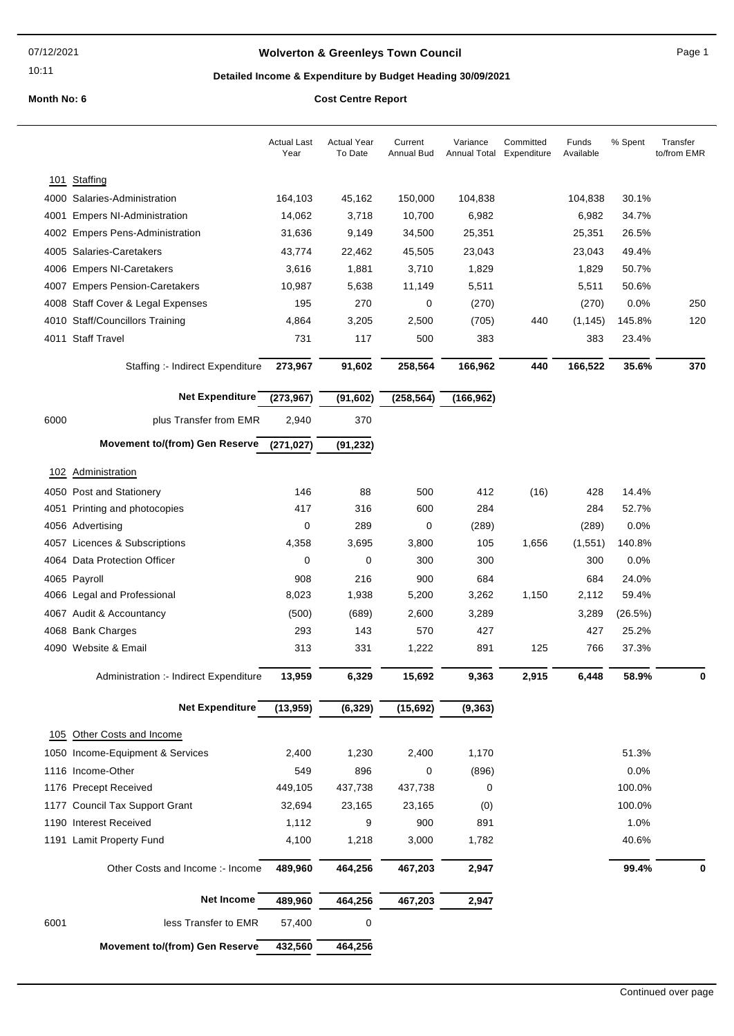10:11

## **Wolverton & Greenleys Town Council** Magnetic Page 1

## **Detailed Income & Expenditure by Budget Heading 30/09/2021**

|      |                                        | <b>Actual Last</b><br>Year | <b>Actual Year</b><br>To Date | Current<br><b>Annual Bud</b> | Variance<br>Annual Total | Committed<br>Expenditure | Funds<br>Available | % Spent | Transfer<br>to/from EMR |
|------|----------------------------------------|----------------------------|-------------------------------|------------------------------|--------------------------|--------------------------|--------------------|---------|-------------------------|
|      |                                        |                            |                               |                              |                          |                          |                    |         |                         |
| 101  | Staffing                               |                            |                               |                              |                          |                          |                    |         |                         |
|      | 4000 Salaries-Administration           | 164,103                    | 45,162                        | 150,000                      | 104,838                  |                          | 104,838            | 30.1%   |                         |
| 4001 | <b>Empers NI-Administration</b>        | 14,062                     | 3,718                         | 10,700                       | 6,982                    |                          | 6,982              | 34.7%   |                         |
|      | 4002 Empers Pens-Administration        | 31,636                     | 9,149                         | 34,500                       | 25,351                   |                          | 25,351             | 26.5%   |                         |
|      | 4005 Salaries-Caretakers               | 43,774                     | 22,462                        | 45,505                       | 23,043                   |                          | 23,043             | 49.4%   |                         |
|      | 4006 Empers NI-Caretakers              | 3,616                      | 1,881                         | 3,710                        | 1,829                    |                          | 1,829              | 50.7%   |                         |
|      | 4007 Empers Pension-Caretakers         | 10,987                     | 5,638                         | 11,149                       | 5,511                    |                          | 5,511              | 50.6%   |                         |
|      | 4008 Staff Cover & Legal Expenses      | 195                        | 270                           | 0                            | (270)                    |                          | (270)              | 0.0%    | 250                     |
|      | 4010 Staff/Councillors Training        | 4,864                      | 3,205                         | 2,500                        | (705)                    | 440                      | (1, 145)           | 145.8%  | 120                     |
|      | 4011 Staff Travel                      | 731                        | 117                           | 500                          | 383                      |                          | 383                | 23.4%   |                         |
|      | Staffing :- Indirect Expenditure       | 273,967                    | 91,602                        | 258,564                      | 166,962                  | 440                      | 166,522            | 35.6%   | 370                     |
|      | <b>Net Expenditure</b>                 | (273, 967)                 | (91, 602)                     | (258, 564)                   | (166, 962)               |                          |                    |         |                         |
| 6000 | plus Transfer from EMR                 | 2,940                      | 370                           |                              |                          |                          |                    |         |                         |
|      | <b>Movement to/(from) Gen Reserve</b>  | (271, 027)                 | (91, 232)                     |                              |                          |                          |                    |         |                         |
|      | 102 Administration                     |                            |                               |                              |                          |                          |                    |         |                         |
|      | 4050 Post and Stationery               | 146                        | 88                            | 500                          | 412                      | (16)                     | 428                | 14.4%   |                         |
| 4051 | Printing and photocopies               | 417                        | 316                           | 600                          | 284                      |                          | 284                | 52.7%   |                         |
|      | 4056 Advertising                       | 0                          | 289                           | 0                            | (289)                    |                          | (289)              | 0.0%    |                         |
|      | 4057 Licences & Subscriptions          | 4,358                      | 3,695                         | 3,800                        | 105                      | 1,656                    | (1, 551)           | 140.8%  |                         |
|      | 4064 Data Protection Officer           | 0                          | 0                             | 300                          | 300                      |                          | 300                | 0.0%    |                         |
|      | 4065 Payroll                           | 908                        | 216                           | 900                          | 684                      |                          | 684                | 24.0%   |                         |
|      | 4066 Legal and Professional            | 8,023                      | 1,938                         | 5,200                        | 3,262                    | 1,150                    | 2,112              | 59.4%   |                         |
|      | 4067 Audit & Accountancy               | (500)                      | (689)                         | 2,600                        | 3,289                    |                          | 3,289              | (26.5%) |                         |
|      | 4068 Bank Charges                      | 293                        | 143                           | 570                          | 427                      |                          | 427                | 25.2%   |                         |
|      | 4090 Website & Email                   | 313                        | 331                           | 1,222                        | 891                      | 125                      | 766                | 37.3%   |                         |
|      | Administration :- Indirect Expenditure | 13,959                     | 6,329                         | 15,692                       | 9,363                    | 2,915                    | 6,448              | 58.9%   | 0                       |
|      | <b>Net Expenditure</b>                 | (13,959)                   | (6, 329)                      | (15, 692)                    | (9, 363)                 |                          |                    |         |                         |
| 105  | Other Costs and Income                 |                            |                               |                              |                          |                          |                    |         |                         |
|      | 1050 Income-Equipment & Services       | 2,400                      | 1,230                         | 2,400                        | 1,170                    |                          |                    | 51.3%   |                         |
|      | 1116 Income-Other                      | 549                        | 896                           | 0                            | (896)                    |                          |                    | 0.0%    |                         |
|      | 1176 Precept Received                  | 449,105                    | 437,738                       | 437,738                      | 0                        |                          |                    | 100.0%  |                         |
|      | 1177 Council Tax Support Grant         | 32,694                     | 23,165                        | 23,165                       | (0)                      |                          |                    | 100.0%  |                         |
|      | 1190 Interest Received                 | 1,112                      | 9                             | 900                          | 891                      |                          |                    | 1.0%    |                         |
|      | 1191 Lamit Property Fund               | 4,100                      | 1,218                         | 3,000                        | 1,782                    |                          |                    | 40.6%   |                         |
|      |                                        |                            |                               |                              |                          |                          |                    |         |                         |
|      | Other Costs and Income :- Income       | 489,960                    | 464,256                       | 467,203                      | 2,947                    |                          |                    | 99.4%   | 0                       |
|      | <b>Net Income</b>                      | 489,960                    | 464,256                       | 467,203                      | 2,947                    |                          |                    |         |                         |
| 6001 | less Transfer to EMR                   | 57,400                     | 0                             |                              |                          |                          |                    |         |                         |
|      | <b>Movement to/(from) Gen Reserve</b>  | 432,560                    | 464,256                       |                              |                          |                          |                    |         |                         |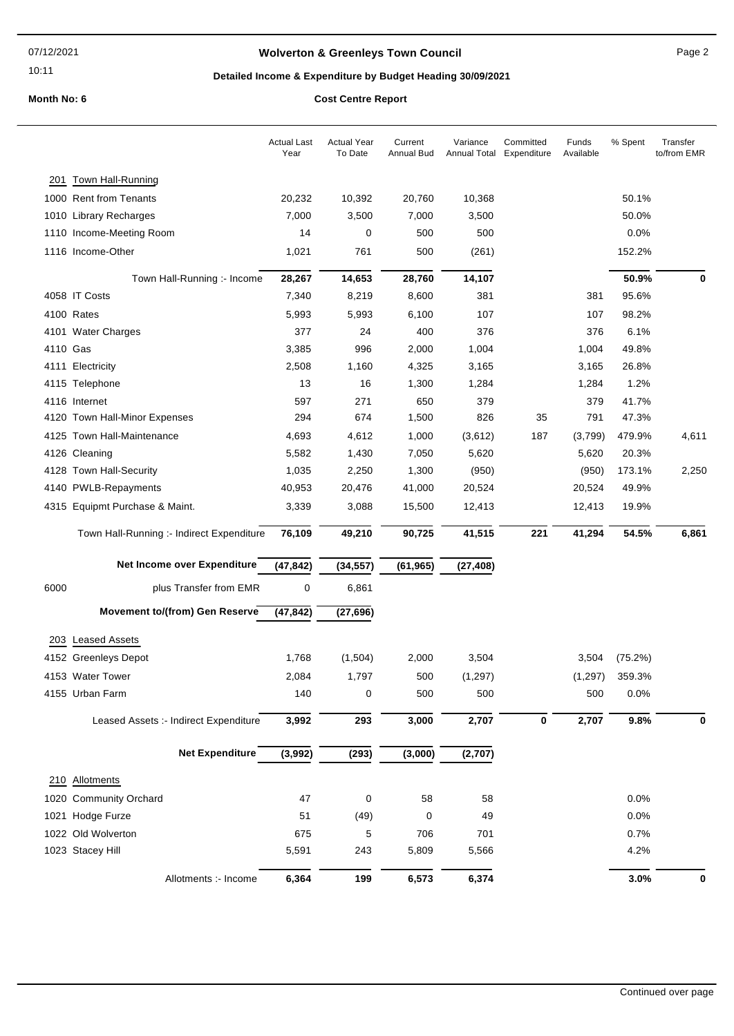10:11

## **Wolverton & Greenleys Town Council** Manual Page 2

## **Detailed Income & Expenditure by Budget Heading 30/09/2021**

**Month No: 6 C** 

|          |                                           | <b>Actual Last</b><br>Year | <b>Actual Year</b><br>To Date | Current<br>Annual Bud | Variance<br>Annual Total | Committed<br>Expenditure | Funds<br>Available | % Spent | Transfer<br>to/from EMR |
|----------|-------------------------------------------|----------------------------|-------------------------------|-----------------------|--------------------------|--------------------------|--------------------|---------|-------------------------|
| 201      | <b>Town Hall-Running</b>                  |                            |                               |                       |                          |                          |                    |         |                         |
|          | 1000 Rent from Tenants                    | 20,232                     | 10,392                        | 20,760                | 10,368                   |                          |                    | 50.1%   |                         |
|          | 1010 Library Recharges                    | 7,000                      | 3,500                         | 7,000                 | 3,500                    |                          |                    | 50.0%   |                         |
|          | 1110 Income-Meeting Room                  | 14                         | 0                             | 500                   | 500                      |                          |                    | 0.0%    |                         |
|          | 1116 Income-Other                         | 1,021                      | 761                           | 500                   | (261)                    |                          |                    | 152.2%  |                         |
|          | Town Hall-Running :- Income               | 28,267                     | 14,653                        | 28,760                | 14,107                   |                          |                    | 50.9%   | 0                       |
|          | 4058 IT Costs                             | 7,340                      | 8,219                         | 8,600                 | 381                      |                          | 381                | 95.6%   |                         |
|          | 4100 Rates                                | 5,993                      | 5,993                         | 6,100                 | 107                      |                          | 107                | 98.2%   |                         |
|          | 4101 Water Charges                        | 377                        | 24                            | 400                   | 376                      |                          | 376                | 6.1%    |                         |
| 4110 Gas |                                           | 3,385                      | 996                           | 2,000                 | 1,004                    |                          | 1,004              | 49.8%   |                         |
|          | 4111 Electricity                          | 2,508                      | 1,160                         | 4,325                 | 3,165                    |                          | 3,165              | 26.8%   |                         |
|          | 4115 Telephone                            | 13                         | 16                            | 1,300                 | 1,284                    |                          | 1,284              | 1.2%    |                         |
|          | 4116 Internet                             | 597                        | 271                           | 650                   | 379                      |                          | 379                | 41.7%   |                         |
|          | 4120 Town Hall-Minor Expenses             | 294                        | 674                           | 1,500                 | 826                      | 35                       | 791                | 47.3%   |                         |
|          | 4125 Town Hall-Maintenance                | 4,693                      | 4,612                         | 1,000                 | (3,612)                  | 187                      | (3,799)            | 479.9%  | 4,611                   |
|          | 4126 Cleaning                             | 5,582                      | 1,430                         | 7,050                 | 5,620                    |                          | 5,620              | 20.3%   |                         |
|          | 4128 Town Hall-Security                   | 1,035                      | 2,250                         | 1,300                 | (950)                    |                          | (950)              | 173.1%  | 2,250                   |
|          | 4140 PWLB-Repayments                      | 40,953                     | 20,476                        | 41,000                | 20,524                   |                          | 20,524             | 49.9%   |                         |
|          | 4315 Equipmt Purchase & Maint.            | 3,339                      | 3,088                         | 15,500                | 12,413                   |                          | 12,413             | 19.9%   |                         |
|          | Town Hall-Running :- Indirect Expenditure | 76,109                     | 49,210                        | 90,725                | 41,515                   | 221                      | 41,294             | 54.5%   | 6,861                   |
|          | Net Income over Expenditure               | (47, 842)                  | (34, 557)                     | (61, 965)             | (27, 408)                |                          |                    |         |                         |
| 6000     | plus Transfer from EMR                    | $\pmb{0}$                  | 6,861                         |                       |                          |                          |                    |         |                         |
|          | <b>Movement to/(from) Gen Reserve</b>     | (47, 842)                  | (27, 696)                     |                       |                          |                          |                    |         |                         |
|          |                                           |                            |                               |                       |                          |                          |                    |         |                         |
|          | 203 Leased Assets                         |                            |                               |                       |                          |                          |                    |         |                         |
|          | 4152 Greenleys Depot                      | 1,768                      | (1,504)                       | 2,000                 | 3,504                    |                          | 3,504              | (75.2%) |                         |
|          | 4153 Water Tower                          | 2,084                      | 1,797                         | 500                   | (1, 297)                 |                          | (1, 297)           | 359.3%  |                         |
|          | 4155 Urban Farm                           | 140                        | 0                             | 500                   | 500                      |                          | 500                | 0.0%    |                         |
|          | Leased Assets :- Indirect Expenditure     | 3,992                      | 293                           | 3,000                 | 2,707                    | $\pmb{0}$                | 2,707              | 9.8%    | 0                       |
|          | <b>Net Expenditure</b>                    | (3,992)                    | (293)                         | (3,000)               | (2,707)                  |                          |                    |         |                         |
|          | 210 Allotments                            |                            |                               |                       |                          |                          |                    |         |                         |
|          | 1020 Community Orchard                    | 47                         | 0                             | 58                    | 58                       |                          |                    | 0.0%    |                         |
|          | 1021 Hodge Furze                          | 51                         | (49)                          | 0                     | 49                       |                          |                    | 0.0%    |                         |
|          | 1022 Old Wolverton                        | 675                        | 5                             | 706                   | 701                      |                          |                    | 0.7%    |                         |
|          | 1023 Stacey Hill                          | 5,591                      | 243                           | 5,809                 | 5,566                    |                          |                    | 4.2%    |                         |
|          | Allotments :- Income                      | 6,364                      | 199                           | 6,573                 | 6,374                    |                          |                    | 3.0%    | 0                       |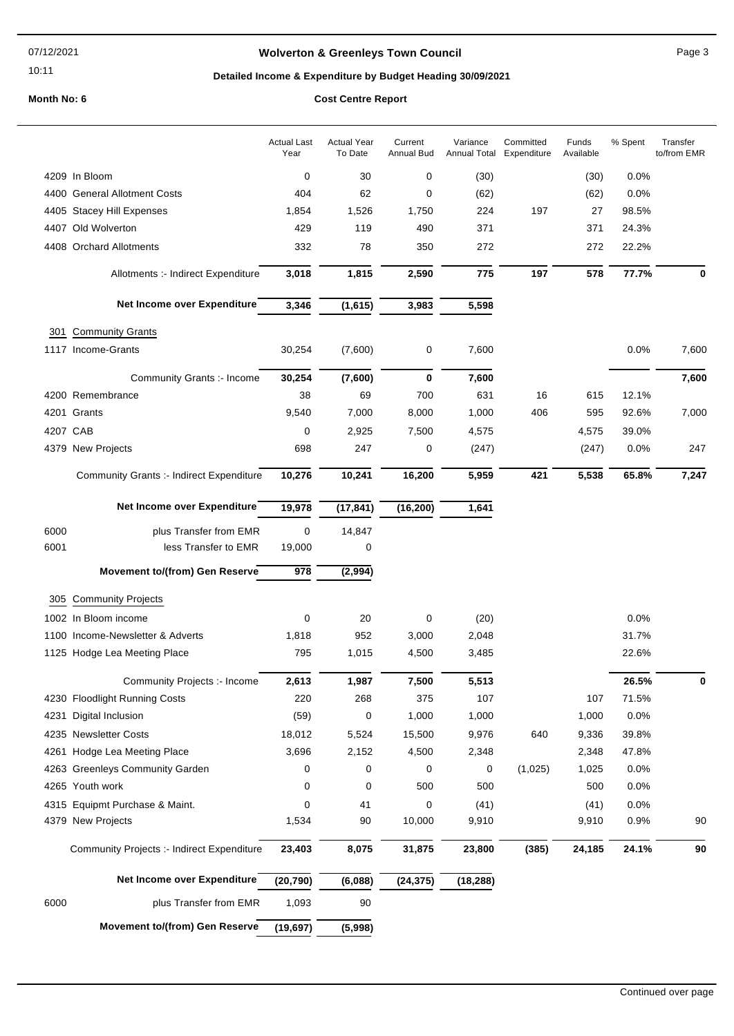#### 07/12/2021

#### 10:11

## **Wolverton & Greenleys Town Council** Manual Page 3

## **Detailed Income & Expenditure by Budget Heading 30/09/2021**

|          |                                            | <b>Actual Last</b><br>Year | <b>Actual Year</b><br>To Date | Current<br>Annual Bud | Variance  | Committed<br>Annual Total Expenditure | Funds<br>Available | % Spent | Transfer<br>to/from EMR |
|----------|--------------------------------------------|----------------------------|-------------------------------|-----------------------|-----------|---------------------------------------|--------------------|---------|-------------------------|
|          | 4209 In Bloom                              | 0                          | 30                            | 0                     | (30)      |                                       | (30)               | 0.0%    |                         |
|          | 4400 General Allotment Costs               | 404                        | 62                            | 0                     | (62)      |                                       | (62)               | 0.0%    |                         |
|          | 4405 Stacey Hill Expenses                  | 1,854                      | 1,526                         | 1,750                 | 224       | 197                                   | 27                 | 98.5%   |                         |
|          | 4407 Old Wolverton                         | 429                        | 119                           | 490                   | 371       |                                       | 371                | 24.3%   |                         |
|          | 4408 Orchard Allotments                    | 332                        | 78                            | 350                   | 272       |                                       | 272                | 22.2%   |                         |
|          | Allotments :- Indirect Expenditure         | 3,018                      | 1,815                         | 2,590                 | 775       | 197                                   | 578                | 77.7%   | 0                       |
|          | Net Income over Expenditure                | 3,346                      | (1,615)                       | 3,983                 | 5,598     |                                       |                    |         |                         |
|          | 301 Community Grants                       |                            |                               |                       |           |                                       |                    |         |                         |
|          | 1117 Income-Grants                         | 30,254                     | (7,600)                       | 0                     | 7,600     |                                       |                    | 0.0%    | 7,600                   |
|          | Community Grants :- Income                 | 30,254                     | (7,600)                       | 0                     | 7,600     |                                       |                    |         | 7,600                   |
|          | 4200 Remembrance                           | 38                         | 69                            | 700                   | 631       | 16                                    | 615                | 12.1%   |                         |
|          | 4201 Grants                                | 9,540                      | 7,000                         | 8,000                 | 1,000     | 406                                   | 595                | 92.6%   | 7,000                   |
| 4207 CAB |                                            | 0                          | 2,925                         | 7,500                 | 4,575     |                                       | 4,575              | 39.0%   |                         |
|          | 4379 New Projects                          | 698                        | 247                           | 0                     | (247)     |                                       | (247)              | 0.0%    | 247                     |
|          | Community Grants :- Indirect Expenditure   | 10,276                     | 10,241                        | 16,200                | 5,959     | 421                                   | 5,538              | 65.8%   | 7,247                   |
|          | Net Income over Expenditure                | 19,978                     | (17, 841)                     | (16, 200)             | 1,641     |                                       |                    |         |                         |
| 6000     | plus Transfer from EMR                     | 0                          | 14,847                        |                       |           |                                       |                    |         |                         |
| 6001     | less Transfer to EMR                       | 19,000                     | 0                             |                       |           |                                       |                    |         |                         |
|          | <b>Movement to/(from) Gen Reserve</b>      | 978                        | (2,994)                       |                       |           |                                       |                    |         |                         |
|          | 305 Community Projects                     |                            |                               |                       |           |                                       |                    |         |                         |
|          | 1002 In Bloom income                       | 0                          | 20                            | 0                     | (20)      |                                       |                    | 0.0%    |                         |
|          | 1100 Income-Newsletter & Adverts           | 1,818                      | 952                           | 3,000                 | 2,048     |                                       |                    | 31.7%   |                         |
|          | 1125 Hodge Lea Meeting Place               | 795                        | 1,015                         | 4,500                 | 3,485     |                                       |                    | 22.6%   |                         |
|          | Community Projects :- Income               | 2,613                      | 1,987                         | 7,500                 | 5,513     |                                       |                    | 26.5%   | 0                       |
|          | 4230 Floodlight Running Costs              | 220                        | 268                           | 375                   | 107       |                                       | 107                | 71.5%   |                         |
|          | 4231 Digital Inclusion                     | (59)                       | 0                             | 1,000                 | 1,000     |                                       | 1,000              | 0.0%    |                         |
|          | 4235 Newsletter Costs                      | 18,012                     | 5,524                         | 15,500                | 9,976     | 640                                   | 9,336              | 39.8%   |                         |
|          | 4261 Hodge Lea Meeting Place               | 3,696                      | 2,152                         | 4,500                 | 2,348     |                                       | 2,348              | 47.8%   |                         |
|          | 4263 Greenleys Community Garden            | 0                          | 0                             | 0                     | 0         | (1,025)                               | 1,025              | 0.0%    |                         |
|          | 4265 Youth work                            | 0                          | 0                             | 500                   | 500       |                                       | 500                | 0.0%    |                         |
|          | 4315 Equipmt Purchase & Maint.             | 0                          | 41                            | 0                     | (41)      |                                       | (41)               | 0.0%    |                         |
|          | 4379 New Projects                          | 1,534                      | 90                            | 10,000                | 9,910     |                                       | 9,910              | 0.9%    | 90                      |
|          | Community Projects :- Indirect Expenditure | 23,403                     | 8,075                         | 31,875                | 23,800    | (385)                                 | 24,185             | 24.1%   | $90\,$                  |
|          | Net Income over Expenditure                | (20, 790)                  | (6,088)                       | (24, 375)             | (18, 288) |                                       |                    |         |                         |
| 6000     | plus Transfer from EMR                     | 1,093                      | 90                            |                       |           |                                       |                    |         |                         |
|          | <b>Movement to/(from) Gen Reserve</b>      | (19, 697)                  | (5,998)                       |                       |           |                                       |                    |         |                         |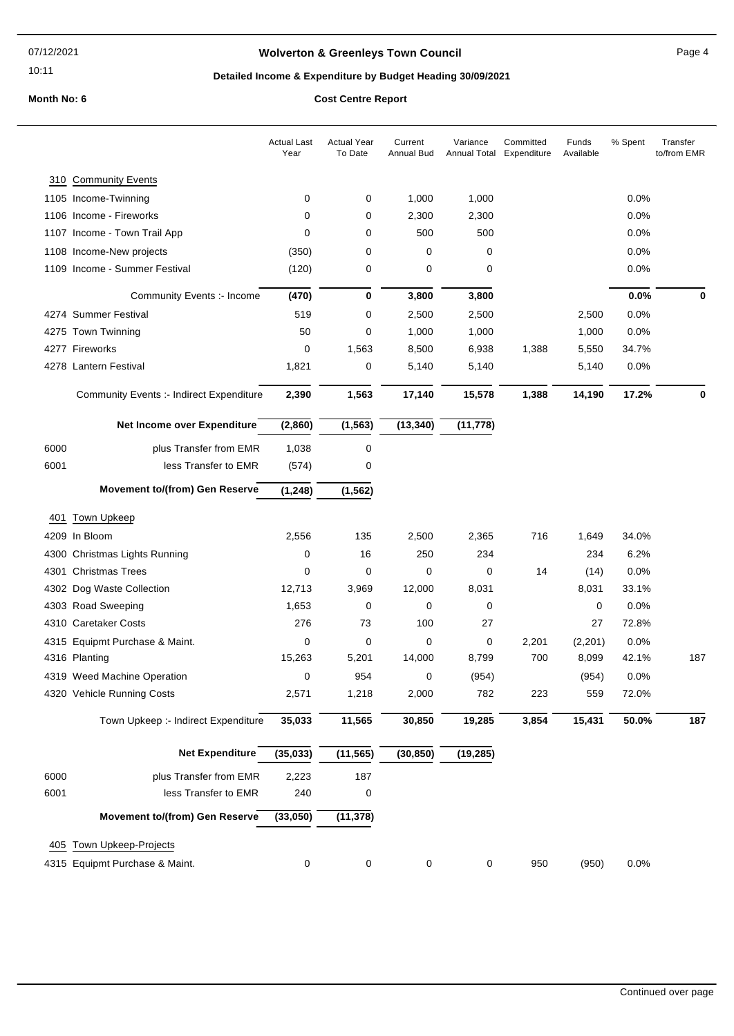10:11

## **Wolverton & Greenleys Town Council Contract Contract Contract Page 4**

## **Detailed Income & Expenditure by Budget Heading 30/09/2021**

|      |                                                 | <b>Actual Last</b><br>Year | <b>Actual Year</b><br>To Date | Current<br><b>Annual Bud</b> | Variance<br>Annual Total | Committed<br>Expenditure | Funds<br>Available | % Spent | Transfer<br>to/from EMR |
|------|-------------------------------------------------|----------------------------|-------------------------------|------------------------------|--------------------------|--------------------------|--------------------|---------|-------------------------|
|      | 310 Community Events                            |                            |                               |                              |                          |                          |                    |         |                         |
|      | 1105 Income-Twinning                            | 0                          | 0                             | 1,000                        | 1,000                    |                          |                    | 0.0%    |                         |
|      | 1106 Income - Fireworks                         | 0                          | 0                             | 2,300                        | 2,300                    |                          |                    | 0.0%    |                         |
|      | 1107 Income - Town Trail App                    | 0                          | 0                             | 500                          | 500                      |                          |                    | 0.0%    |                         |
|      | 1108 Income-New projects                        | (350)                      | 0                             | $\mathbf 0$                  | 0                        |                          |                    | 0.0%    |                         |
|      | 1109 Income - Summer Festival                   | (120)                      | 0                             | 0                            | 0                        |                          |                    | 0.0%    |                         |
|      | Community Events :- Income                      | (470)                      | 0                             | 3,800                        | 3,800                    |                          |                    | 0.0%    | 0                       |
|      | 4274 Summer Festival                            | 519                        | 0                             | 2,500                        | 2,500                    |                          | 2,500              | 0.0%    |                         |
|      | 4275 Town Twinning                              | 50                         | 0                             | 1,000                        | 1,000                    |                          | 1,000              | 0.0%    |                         |
|      | 4277 Fireworks                                  | 0                          | 1,563                         | 8,500                        | 6,938                    | 1,388                    | 5,550              | 34.7%   |                         |
|      | 4278 Lantern Festival                           | 1,821                      | 0                             | 5,140                        | 5,140                    |                          | 5,140              | 0.0%    |                         |
|      | <b>Community Events :- Indirect Expenditure</b> | 2,390                      | 1,563                         | 17,140                       | 15,578                   | 1,388                    | 14,190             | 17.2%   | 0                       |
|      | Net Income over Expenditure                     | (2,860)                    | (1, 563)                      | (13, 340)                    | (11, 778)                |                          |                    |         |                         |
| 6000 | plus Transfer from EMR                          | 1,038                      | 0                             |                              |                          |                          |                    |         |                         |
| 6001 | less Transfer to EMR                            | (574)                      | 0                             |                              |                          |                          |                    |         |                         |
|      | <b>Movement to/(from) Gen Reserve</b>           | (1, 248)                   | (1, 562)                      |                              |                          |                          |                    |         |                         |
|      | <b>Town Upkeep</b>                              |                            |                               |                              |                          |                          |                    |         |                         |
| 401  | 4209 In Bloom                                   | 2,556                      | 135                           | 2,500                        | 2,365                    | 716                      | 1,649              | 34.0%   |                         |
|      | 4300 Christmas Lights Running                   | 0                          | 16                            | 250                          | 234                      |                          | 234                | 6.2%    |                         |
|      | 4301 Christmas Trees                            | 0                          | 0                             | 0                            | 0                        | 14                       | (14)               | 0.0%    |                         |
|      | 4302 Dog Waste Collection                       | 12,713                     | 3,969                         | 12,000                       | 8,031                    |                          | 8,031              | 33.1%   |                         |
|      | 4303 Road Sweeping                              | 1,653                      | 0                             | 0                            | 0                        |                          | $\mathbf 0$        | 0.0%    |                         |
|      | 4310 Caretaker Costs                            | 276                        | 73                            | 100                          | 27                       |                          | 27                 | 72.8%   |                         |
|      | 4315 Equipmt Purchase & Maint.                  | 0                          | 0                             | 0                            | 0                        | 2,201                    | (2,201)            | 0.0%    |                         |
|      | 4316 Planting                                   | 15,263                     | 5,201                         | 14,000                       | 8,799                    | 700                      | 8,099              | 42.1%   | 187                     |
|      | 4319 Weed Machine Operation                     | 0                          | 954                           | 0                            | (954)                    |                          | (954)              | 0.0%    |                         |
|      | 4320 Vehicle Running Costs                      | 2,571                      | 1,218                         | 2,000                        | 782                      | 223                      | 559                | 72.0%   |                         |
|      | Town Upkeep :- Indirect Expenditure             | 35,033                     | 11,565                        | 30,850                       | 19,285                   | 3,854                    | 15,431             | 50.0%   | 187                     |
|      | <b>Net Expenditure</b>                          | (35, 033)                  | (11, 565)                     | (30, 850)                    | (19, 285)                |                          |                    |         |                         |
| 6000 | plus Transfer from EMR                          | 2,223                      | 187                           |                              |                          |                          |                    |         |                         |
| 6001 | less Transfer to EMR                            | 240                        | 0                             |                              |                          |                          |                    |         |                         |
|      | <b>Movement to/(from) Gen Reserve</b>           | (33,050)                   | (11, 378)                     |                              |                          |                          |                    |         |                         |
|      |                                                 |                            |                               |                              |                          |                          |                    |         |                         |
| 405  | <b>Town Upkeep-Projects</b>                     |                            |                               |                              |                          |                          |                    |         |                         |
|      | 4315 Equipmt Purchase & Maint.                  | 0                          | 0                             | 0                            | 0                        | 950                      | (950)              | 0.0%    |                         |